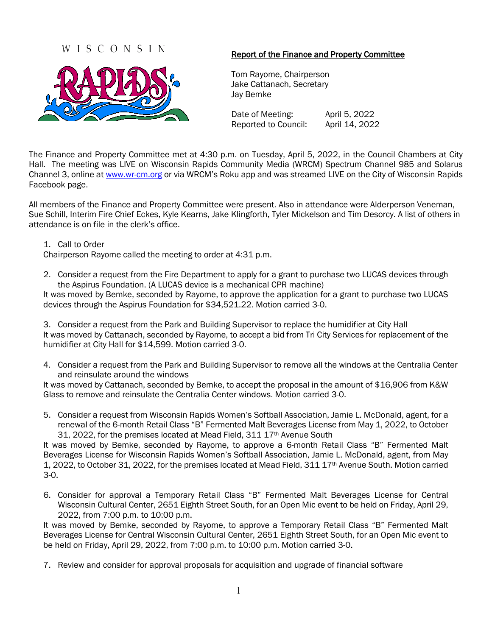## WISCONSIN



## Report of the Finance and Property Committee

Tom Rayome, Chairperson Jake Cattanach, Secretary Jay Bemke

Date of Meeting: April 5, 2022 Reported to Council: April 14, 2022

The Finance and Property Committee met at 4:30 p.m. on Tuesday, April 5, 2022, in the Council Chambers at City Hall. The meeting was LIVE on Wisconsin Rapids Community Media (WRCM) Spectrum Channel 985 and Solarus Channel 3, online a[t www.wr-cm.org](http://www.wr-cm.org/) or via WRCM's Roku app and was streamed LIVE on the City of Wisconsin Rapids Facebook page.

All members of the Finance and Property Committee were present. Also in attendance were Alderperson Veneman, Sue Schill, Interim Fire Chief Eckes, Kyle Kearns, Jake Klingforth, Tyler Mickelson and Tim Desorcy. A list of others in attendance is on file in the clerk's office.

## 1. Call to Order

Chairperson Rayome called the meeting to order at 4:31 p.m.

2. Consider a request from the Fire Department to apply for a grant to purchase two LUCAS devices through the Aspirus Foundation. (A LUCAS device is a mechanical CPR machine)

It was moved by Bemke, seconded by Rayome, to approve the application for a grant to purchase two LUCAS devices through the Aspirus Foundation for \$34,521.22. Motion carried 3-0.

3. Consider a request from the Park and Building Supervisor to replace the humidifier at City Hall It was moved by Cattanach, seconded by Rayome, to accept a bid from Tri City Services for replacement of the humidifier at City Hall for \$14,599. Motion carried 3-0.

4. Consider a request from the Park and Building Supervisor to remove all the windows at the Centralia Center and reinsulate around the windows

It was moved by Cattanach, seconded by Bemke, to accept the proposal in the amount of \$16,906 from K&W Glass to remove and reinsulate the Centralia Center windows. Motion carried 3-0.

5. Consider a request from Wisconsin Rapids Women's Softball Association, Jamie L. McDonald, agent, for a renewal of the 6-month Retail Class "B" Fermented Malt Beverages License from May 1, 2022, to October 31, 2022, for the premises located at Mead Field, 311 17<sup>th</sup> Avenue South

It was moved by Bemke, seconded by Rayome, to approve a 6-month Retail Class "B" Fermented Malt Beverages License for Wisconsin Rapids Women's Softball Association, Jamie L. McDonald, agent, from May 1, 2022, to October 31, 2022, for the premises located at Mead Field, 311 17th Avenue South. Motion carried 3-0.

6. Consider for approval a Temporary Retail Class "B" Fermented Malt Beverages License for Central Wisconsin Cultural Center, 2651 Eighth Street South, for an Open Mic event to be held on Friday, April 29, 2022, from 7:00 p.m. to 10:00 p.m.

It was moved by Bemke, seconded by Rayome, to approve a Temporary Retail Class "B" Fermented Malt Beverages License for Central Wisconsin Cultural Center, 2651 Eighth Street South, for an Open Mic event to be held on Friday, April 29, 2022, from 7:00 p.m. to 10:00 p.m. Motion carried 3-0.

7. Review and consider for approval proposals for acquisition and upgrade of financial software